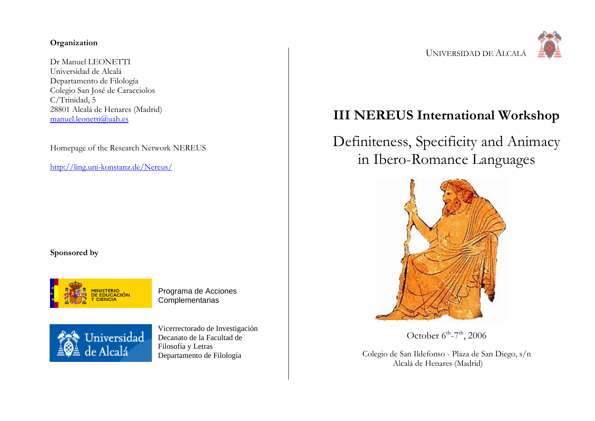#### **Organization**

Dr Manuel LEONETTI Universidad de Alcalá Departamento de Filología Colegio San José de Caracciolos C/Trinidad, 5 28801 Alcalá de Henares (Madrid) manuel.leonetti@uah.es

Homepage of the Research Network NEREUS

http://ling.uni-konstanz.de/Nereus/

**Sponsored by**



Programa de Acciones Complementarias



Vicerrectorado de Investigación Decanato de la Facultad de Filosofía y Letras Departamento de Filología



## **III NEREUS International Workshop**

# Definiteness, Specificity and Animacy in Ibero-Romance Languages



October  $6^{th}$ -7<sup>th</sup>, 2006

Colegio de San Ildefonso - Plaza de San Diego, s/n Alcalá de Henares (Madrid)